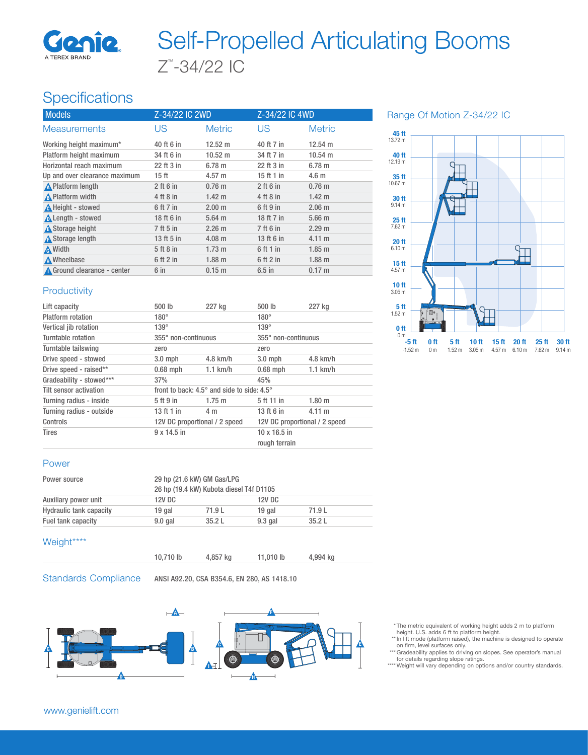

# Z™ -34/22 IC Self-Propelled Articulating Booms

## **Specifications**

| <b>Models</b>                 | Z-34/22 IC 2WD |                   | Z-34/22 IC 4WD |                   |
|-------------------------------|----------------|-------------------|----------------|-------------------|
| <b>Measurements</b>           | US             | <b>Metric</b>     | US             | <b>Metric</b>     |
| Working height maximum*       | 40 ft 6 in     | $12.52 \text{ m}$ | 40 ft 7 in     | $12.54 \text{ m}$ |
| Platform height maximum       | 34 ft 6 in     | $10.52 \text{ m}$ | 34 ft 7 in     | $10.54 \text{ m}$ |
| Horizontal reach maximum      | 22 ft 3 in     | 6.78 m            | 22 ft 3 in     | 6.78 m            |
| Up and over clearance maximum | 15 ft          | $4.57 \text{ m}$  | 15 ft 1 in     | 4.6 <sub>m</sub>  |
| <b>A</b> Platform length      | $2$ ft 6 in    | $0.76$ m          | $2$ ft 6 in    | $0.76$ m          |
| A Platform width              | 4 ft 8 in      | $1.42 \text{ m}$  | 4 ft 8 in      | $1.42 \text{ m}$  |
| A Height - stowed             | 6 ft 7 in      | 2.00 <sub>m</sub> | 6 ft 9 in      | $2.06$ m          |
| Length - stowed               | 18 ft 6 in     | $5.64$ m          | 18 ft 7 in     | 5.66 <sub>m</sub> |
| <b>A</b> Storage height       | 7 ft 5 in      | $2.26 \text{ m}$  | 7 ft 6 in      | 2.29 m            |
| <b>A</b> Storage length       | 13 ft 5 in     | $4.08 \text{ m}$  | 13 ft 6 in     | $4.11 \text{ m}$  |
| <b>A</b> Width                | 5 ft 8 in      | $1.73 \text{ m}$  | 6 ft 1 in      | $1.85$ m          |
| <b>A</b> Wheelbase            | $6$ ft $2$ in  | $1.88$ m          | 6 ft 2 in      | $1.88$ m          |
| Ground clearance - center     | 6 in           | $0.15 \; m$       | $6.5$ in       | $0.17 \text{ m}$  |

Range Of Motion Z-34/22 IC



#### **Productivity**

| Lift capacity            | 500 lb                                                       | 227 kg           | 500 lb                        | 227 kg           |
|--------------------------|--------------------------------------------------------------|------------------|-------------------------------|------------------|
| Platform rotation        | $180^\circ$                                                  |                  | $180^\circ$                   |                  |
| Vertical jib rotation    | $139^\circ$                                                  |                  | $139^\circ$                   |                  |
| Turntable rotation       | 355° non-continuous                                          |                  | 355° non-continuous           |                  |
| Turntable tailswing      | zero                                                         |                  | zero                          |                  |
| Drive speed - stowed     | $3.0$ mph                                                    | $4.8$ km/h       | $3.0$ mph                     | $4.8$ km/h       |
| Drive speed - raised**   | $0.68$ mph                                                   | $1.1$ km/h       | $0.68$ mph                    | $1.1$ km/h       |
| Gradeability - stowed*** | 37%                                                          |                  | 45%                           |                  |
| Tilt sensor activation   | front to back: $4.5^{\circ}$ and side to side: $4.5^{\circ}$ |                  |                               |                  |
| Turning radius - inside  | 5 ft 9 in                                                    | $1.75 \;{\rm m}$ | 5 ft 11 in                    | 1.80 m           |
| Turning radius - outside | 13 ft 1 in                                                   | 4 m              | 13 ft 6 in                    | $4.11 \text{ m}$ |
| Controls                 | 12V DC proportional / 2 speed                                |                  | 12V DC proportional / 2 speed |                  |
| <b>Tires</b>             | $9 \times 14.5$ in                                           |                  | $10 \times 16.5$ in           |                  |
|                          |                                                              |                  | rough terrain                 |                  |

#### Power

| Power source                   |           | 29 hp (21.6 kW) GM Gas/LPG<br>26 hp (19.4 kW) Kubota diesel T4f D1105 |           |        |  |
|--------------------------------|-----------|-----------------------------------------------------------------------|-----------|--------|--|
|                                |           |                                                                       |           |        |  |
| Auxiliary power unit           | 12V DC    |                                                                       |           | 12V DC |  |
| <b>Hydraulic tank capacity</b> | 19 gal    | 71.9L                                                                 | 19 gal    | 71.9L  |  |
| Fuel tank capacity             | $9.0$ gal | 35.2L                                                                 | $9.3$ gal | 35.2L  |  |

#### Weight\*\*\*\*

| 10,710 lb | 4,857 kg | 11,010 lb | 4,994 kg |  |
|-----------|----------|-----------|----------|--|
|           |          |           |          |  |

Standards Compliance ANSI A92.20, CSA B354.6, EN 280, AS 1418.10



- \* The metric equivalent of working height adds 2 m to platform height. U.S. adds 6 ft to platform height.
- \*\* In lift mode (platform raised), the machine is designed to operate on firm, level surfaces only. \*\*\* Gradeability applies to driving on slopes. See operator's manual
- for details regarding slope ratings. \*\*\*\* Weight will vary depending on options and/or country standards.

www.genielift.com